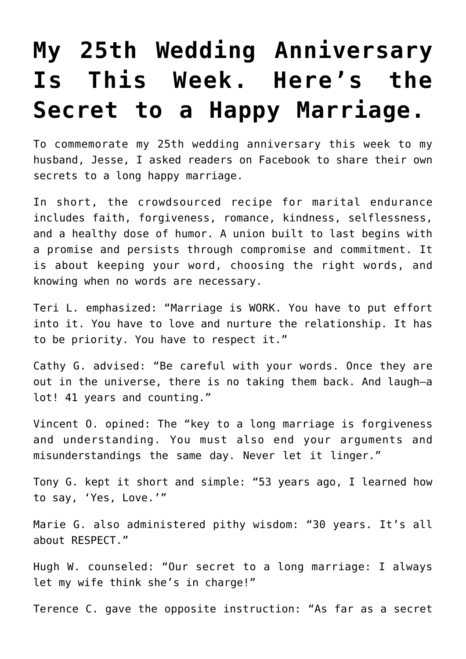## **[My 25th Wedding Anniversary](https://intellectualtakeout.org/2018/07/my-25th-wedding-anniversary-is-this-week-heres-the-secret-to-a-happy-marriage/) [Is This Week. Here's the](https://intellectualtakeout.org/2018/07/my-25th-wedding-anniversary-is-this-week-heres-the-secret-to-a-happy-marriage/) [Secret to a Happy Marriage.](https://intellectualtakeout.org/2018/07/my-25th-wedding-anniversary-is-this-week-heres-the-secret-to-a-happy-marriage/)**

To commemorate my 25th wedding anniversary this week to my husband, Jesse, I asked readers on Facebook to share their own secrets to a long happy marriage.

In short, the crowdsourced recipe for marital endurance includes faith, forgiveness, romance, kindness, selflessness, and a healthy dose of humor. A union built to last begins with a promise and persists through compromise and commitment. It is about keeping your word, choosing the right words, and knowing when no words are necessary.

Teri L. emphasized: "Marriage is WORK. You have to put effort into it. You have to love and nurture the relationship. It has to be priority. You have to respect it."

Cathy G. advised: "Be careful with your words. Once they are out in the universe, there is no taking them back. And laugh—a lot! 41 years and counting."

Vincent O. opined: The "key to a long marriage is forgiveness and understanding. You must also end your arguments and misunderstandings the same day. Never let it linger."

Tony G. kept it short and simple: "53 years ago, I learned how to say, 'Yes, Love.'"

Marie G. also administered pithy wisdom: "30 years. It's all about RESPECT."

Hugh W. counseled: "Our secret to a long marriage: I always let my wife think she's in charge!"

Terence C. gave the opposite instruction: "As far as a secret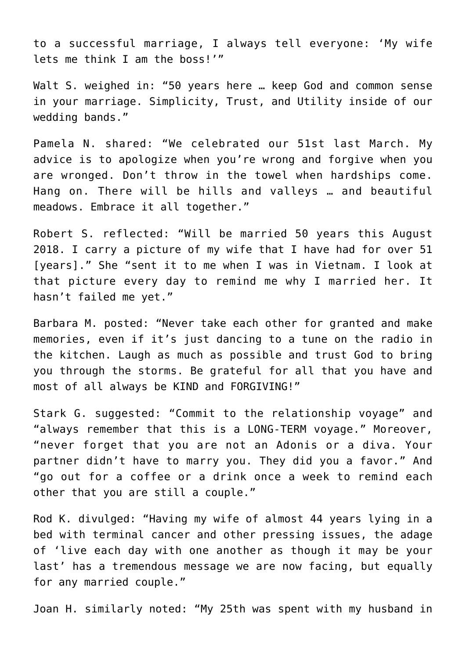to a successful marriage, I always tell everyone: 'My wife lets me think I am the boss!'"

Walt S. weighed in: "50 years here … keep God and common sense in your marriage. Simplicity, Trust, and Utility inside of our wedding bands."

Pamela N. shared: "We celebrated our 51st last March. My advice is to apologize when you're wrong and forgive when you are wronged. Don't throw in the towel when hardships come. Hang on. There will be hills and valleys … and beautiful meadows. Embrace it all together."

Robert S. reflected: "Will be married 50 years this August 2018. I carry a picture of my wife that I have had for over 51 [years]." She "sent it to me when I was in Vietnam. I look at that picture every day to remind me why I married her. It hasn't failed me yet."

Barbara M. posted: "Never take each other for granted and make memories, even if it's just dancing to a tune on the radio in the kitchen. Laugh as much as possible and trust God to bring you through the storms. Be grateful for all that you have and most of all always be KIND and FORGIVING!"

Stark G. suggested: "Commit to the relationship voyage" and "always remember that this is a LONG-TERM voyage." Moreover, "never forget that you are not an Adonis or a diva. Your partner didn't have to marry you. They did you a favor." And "go out for a coffee or a drink once a week to remind each other that you are still a couple."

Rod K. divulged: "Having my wife of almost 44 years lying in a bed with terminal cancer and other pressing issues, the adage of 'live each day with one another as though it may be your last' has a tremendous message we are now facing, but equally for any married couple."

Joan H. similarly noted: "My 25th was spent with my husband in